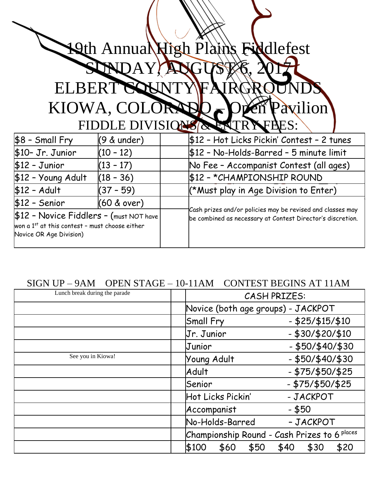## **19th Annual High Plains Fiddlefest** SUNDAY, ANGUST 8, 2017 ELBERT COU KIOWA, COLORADO – Open Pavilion FIDDLE DIVISIONS & ENTRYFEES:

| $$8 - Small Fry$                                                                                                                   | $(9 &$ under) | \$12 - Hot Licks Pickin' Contest - 2 tunes                                                                               |  |
|------------------------------------------------------------------------------------------------------------------------------------|---------------|--------------------------------------------------------------------------------------------------------------------------|--|
| $$10-$ Jr. Junior                                                                                                                  | $(10 - 12)$   | $$12$ - No-Holds-Barred - 5 minute limit                                                                                 |  |
| $$12$ - Junior                                                                                                                     | $(13 - 17)$   | No Fee - Accompanist Contest (all ages)                                                                                  |  |
| $$12 - Young$ Adult                                                                                                                | $(18 - 36)$   | $$12 - *CHAMPIONSHP$ ROUND                                                                                               |  |
| $$12 - Adult$                                                                                                                      | $(37 - 59)$   | K*Must play in Age Division to Enter)                                                                                    |  |
| $$12 - Senior$                                                                                                                     | (60 & over)   |                                                                                                                          |  |
| $$12$ - Novice Fiddlers - (must NOT have)<br>won a 1 <sup>st</sup> at this contest - must choose either<br>Novice OR Age Division) |               | Cash prizes and/or policies may be revised and classes may<br>be combined as necessary at Contest Director's discretion. |  |

## SIGN UP – 9AM OPEN STAGE – 10-11AM CONTEST BEGINS AT 11AM

| Lunch break during the parade | <b>CASH PRIZES:</b>   |                                              |  |
|-------------------------------|-----------------------|----------------------------------------------|--|
|                               |                       | Novice (both age groups) - JACKPOT           |  |
|                               | <b>Small Fry</b>      | $-$ \$25/\$15/\$10                           |  |
|                               | Jr. Junior            | $-$ \$30/\$20/\$10                           |  |
|                               | Junior                | $-$ \$50/\$40/\$30                           |  |
| See you in Kiowa!             | Young Adult           | $-$ \$50/\$40/\$30                           |  |
|                               | Adult                 | $-$ \$75/\$50/\$25                           |  |
|                               | Senior                | $-$ \$75/\$50/\$25                           |  |
|                               | Hot Licks Pickin'     | - JACKPOT                                    |  |
|                               | Accompanist           | $-$ \$50                                     |  |
|                               | No-Holds-Barred       | - JACKPOT                                    |  |
|                               |                       | Championship Round - Cash Prizes to 6 places |  |
|                               | \$100<br>\$60<br>\$50 | \$20<br>\$40<br>\$30                         |  |